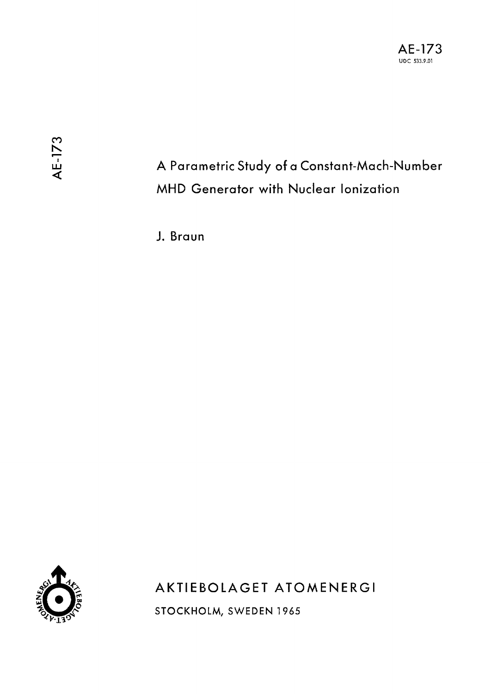# A Parametric Study of a Constant-Mach-Number MHD Generator with Nuclear lonization

J. Braun



AKTIEBOLAGET ATOMENERGI

STOCKHOLM, SWEDEN 1965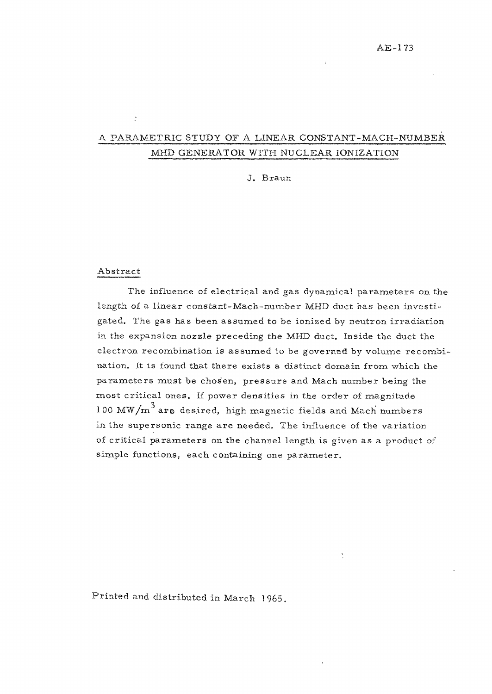# A PARAMETRIC STUDY OF A LINEAR CONSTANT-MACH-NUMBER MHD GENERATOR WITH NUCLEAR **IONIZATION**

J. Braun

#### Abstract

The influence of electrical and gas dynamical parameters on the length of a linear constant-Mach-number MHD duct has been investigated. The gas has been assumed to be ionized by neutron irradiation in the expansion nozzle preceding the MHD duct. Inside the duct the electron recombination is assumed to be governed by volume recombination. It is found that there exists a distinct domain from which the parameters must be chosen, pressure and Mach number being the most critical ones. If power densities in the order of magnitude 100 MW/ $m^3$  are desired, high magnetic fields and Mach numbers in the supersonic range are needed. The influence of the variation of critical parameters on the channel length is given as a product of simple functions, each containing one parameter.

Printed and distributed in March 1965.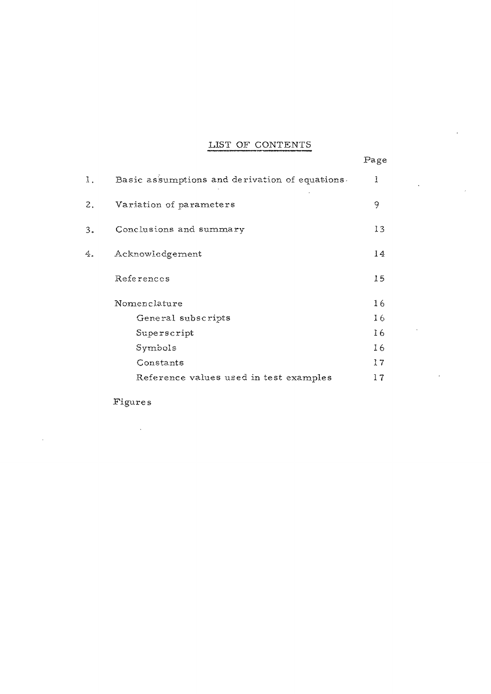# LIST OF CONTENTS

 $\ddot{\phantom{a}}$ 

 $\overline{a}$ 

|    |                                                | Page |
|----|------------------------------------------------|------|
| 1. | Basic assumptions and derivation of equations. | ŀ    |
| 2. | Variation of parameters                        | 9    |
| 3. | Conclusions and summary                        | 13   |
| 4. | Acknowledgement                                | 14   |
|    | References                                     | 15   |
|    | Nomenclature                                   | 16   |
|    | General subscripts                             | 16   |
|    | Superscript                                    | 16   |
|    | Symbols                                        | 16   |
|    | Constants                                      | 17   |
|    | Reference values used in test examples         | 17   |

Figures

 $\ddot{\phantom{a}}$ 

 $\ddot{\phantom{a}}$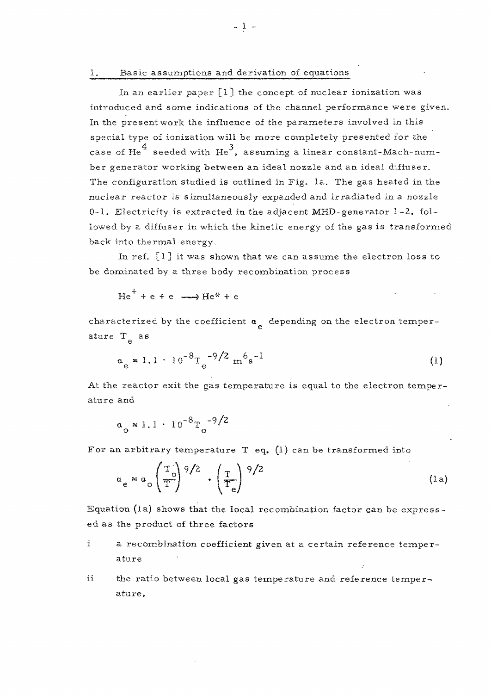#### 1. Basic assumptions and derivation of equations

In an earlier paper [1] the concept of nuclear ionization was introduced and some indications of the channel performance were given. In the present work the influence of the parameters involved in this special type of ionization will be more completely presented for the case of He<sup>4</sup> seeded with He<sup>3</sup>, assuming a linear constant-Mach-number generator working between an ideal nozzle and an ideal diffuser. The configuration studied is outlined in Fig. la. The gas heated in the nuclear reactor is simultaneously expanded and irradiated in a nozzle 0-1. Electricity is extracted in the adjacent MHD-generator  $l-2$ . followed by a diffuser in which the kinetic energy of the gas is transformed back into thermal energy.

In ref.  $\lceil 1 \rceil$  it was shown that we can assume the electron loss to be dominated by a three body recombination process be dominated by a three body recombination process

$$
He^+ + e + e \longrightarrow He^* + e
$$

characterized by the coefficient  $a_{\rho}$  depending on the electron temperature T as e

$$
a_e = 1.1 \cdot 10^{-8} T_e^{-9/2} m^6 s^{-1}
$$
 (1)

At the reactor exit the gas temperature is equal to the electron temperature and

$$
\alpha_{\circ} \approx 1.1 \cdot 10^{-8} T_{\circ}^{-9/2}
$$

For an arbitrary temperature T eq.  $(1)$  can be transformed into

$$
\alpha_e \approx \alpha_o \left(\frac{T_o}{T}\right)^{9/2} \cdot \left(\frac{T}{T_e}\right)^{9/2} \tag{1a}
$$

Equation (la) shows that the local recombination factor can be expressed as the product of three factors

- i a recombination coefficient given at a certain reference temperature
- ii the ratio between local gas temperature and reference temperature,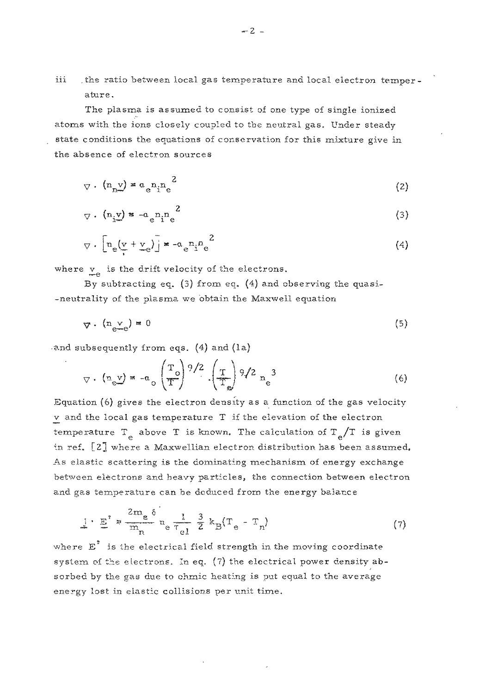iii the ratio between local gas temperature and local electron temperature.

The plasma is assumed to consist of one type of single ionized atoms with the ions closely coupled to the neutral gas. Under steady state conditions the equations of conservation for this mixture give in the absence of electron sources

$$
\nabla \cdot (n_{\mathbf{n}} \mathbf{v}) = a_{\mathbf{e}} n_{\mathbf{i}} n_{\mathbf{e}}^2 \tag{2}
$$

$$
\nabla \cdot (\mathbf{n}_i \mathbf{v}) \ast -\mathbf{a}_e \mathbf{n}_i \mathbf{n}_e^2
$$
 (3)

$$
\nabla \cdot \left[ n_e \left( \frac{v + v_e}{i} \right) \right] = -\alpha_e n_i n_e^2 \tag{4}
$$

where  $v_{\rm e}$  is the drift velocity of the electrons.

By subtracting eq. (3) from eq. (4) and observing the quasi- -neutrality of the plasma we obtain the Maxwell equation

$$
\nabla \cdot \left( n_{\text{e}} \right) = 0 \tag{5}
$$

and subsequently from eqs. (4) and (la)

$$
\nabla \cdot \left( n_e \underline{v} \right) = -a_o \left( \frac{T_o}{T} \right)^{9/2} \cdot \left( \frac{T}{T_e} \right)^{9/2} n_e^{-3}
$$
 (6)

Equation (6) gives the electron density as a function of the gas velocity v and the local gas temperature T if the elevation of the electron temperature  $T_{\alpha}$  above T is known. The calculation of  $T_{\alpha}/T$  is given in ref.  $[2]$  where a Maxwellian electron distribution has been assumed. As elastic scattering is the dominating mechanism of energy exchange between electrons and heavy particles, the connection between electron and gas temperature can be deduced from the energy balance

$$
\underline{\mathbf{j}} \cdot \underline{\mathbf{E}}^{\mathsf{T}} \approx \frac{2m_e}{m_n} n_e \frac{1}{\tau_{el}} \frac{3}{2} k_B (T_e - T_n)
$$
 (7)

where  $E^2$  is the electrical field strength in the moving coordinate system of the electrons. In eq. (7) the electrical power density absorbed by the gas due to chmic heating is put equal to the average sorbed by the gas due to ohmic heating is put equal to the average energy lost in elastic collisions per unit time.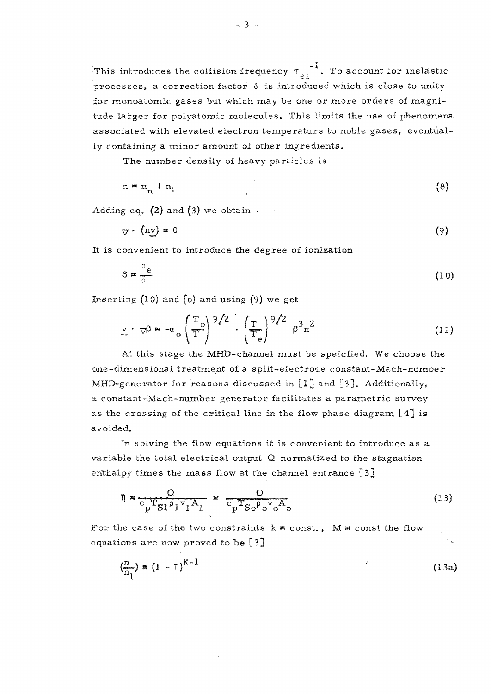This introduces the collision frequency  $\tau_{el}^{-1}$ , To account for inelastic processes, a correction factor  $\delta$  is introduced which is close to unity for monoatomic gases but which may be one or more orders of magnitude larger for polyatomic molecules. This limits the use of phenomena associated with elevated electron temperature to noble gases, eventually containing a minor amount of other ingredients.

The number density of heavy particles is

$$
n = n_{n} + n_{i} \tag{8}
$$

Adding eq.  $(2)$  and  $(3)$  we obtain.

$$
\nabla \cdot (\mathbf{n} \mathbf{v}) \cdot (\mathbf{n} \mathbf{v}) \tag{9}
$$

It is convenient to introduce the degree of ionization

$$
\beta = \frac{n_e}{n} \tag{10}
$$

Inserting  $(10)$  and  $(6)$  and using  $(9)$  we get

$$
\underline{\mathbf{v}} \cdot \nabla \beta = -a_o \left( \frac{\mathbf{T}_o}{\mathbf{T}} \right)^{9/2} \cdot \left( \frac{\mathbf{T}}{\mathbf{T}_e} \right)^{9/2} \beta^3 n^2 \tag{11}
$$

At this stage the MHD-channel must be speicfied. We choose the one-dimensional treatment of a split-electrode constant-Mach-number MHD-generator for reasons discussed in  $\left[1\right]$  and  $\left[3\right]$ . Additionally, a constant-Mach-number generator facilitates a parametric survey as the crossing of the critical line in the flow phase diagram  $[4]$  is avoided.

In solving the flow equations it is convenient to introduce as a variable the total electrical output Q normalised to the stagnation enthalpy times the mass flow at the channel entrance  $[3]$ 

$$
\eta = \frac{Q}{c_p T_{\mathbf{S1}} \rho_1 v_1 A_1} \approx \frac{Q}{c_p T_{\mathbf{S0}} \rho_0 v_0 A_0} \tag{13}
$$

For the case of the two constraints  $k \neq const.$ , M  $\neq$  const the flow equations are now proved to be  $[3]$ 

$$
\left(\frac{n}{n_1}\right) \approx \left(1 - \eta\right)^{K-1} \tag{13a}
$$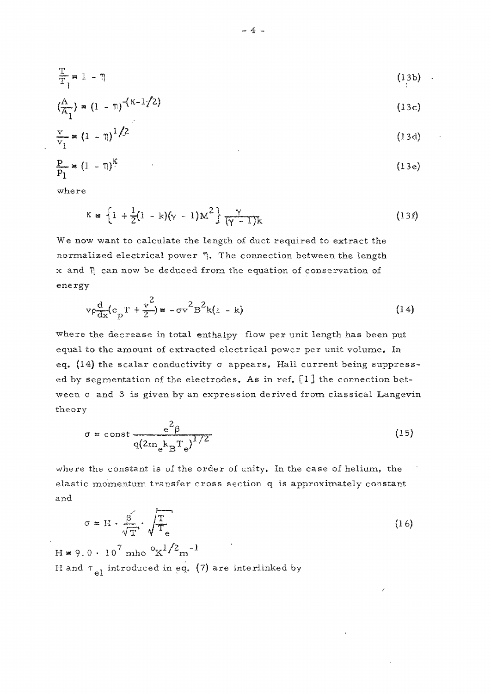$$
\frac{T}{T_1} = 1 - \eta \tag{13b}
$$

$$
\left(\frac{A}{A_1}\right) \cdot \left(1 - \pi\right)^{-\left(\kappa - 1/2\right)} \tag{13c}
$$

$$
\frac{v}{v_1} = (1 - \eta)^{1/2}
$$
 (13d)

$$
\frac{\mathbf{p}}{\mathbf{p}_1} \approx (1 - \eta)^K \tag{13e}
$$

where

$$
K = \left\{1 + \frac{1}{2}(1 - k)(\gamma - 1)M^2\right\} \frac{\gamma}{(\gamma - 1)k}
$$
 (13f)

We now want to calculate the length of duct required to extract the normalized electrical power  $\eta$ . The connection between the length  $x$  and  $\eta$  can now be deduced from the equation of conservation of energy

$$
v\rho \frac{d}{dx}(c_p T + \frac{v^2}{2}) \approx -\sigma v^2 B^2 k(1 - k)
$$
 (14)

where the decrease in total enthalpy flow per unit length has been put equal to the amount of extracted electrical power per unit volume. In eq. (14) the scalar conductivity *o* appears, Hall current being suppressed by segmentation of the electrodes. As in ref.  $[1]$  the connection between  $\sigma$  and  $\beta$  is given by an expression derived from classical Langevin theory

$$
\sigma = \text{const} \frac{e^2 \beta}{q(2m_e k_B T_e)^{1/2}}
$$
 (15)

where the constant is of the order of unity. In the case of helium, the elastic momentum transfer cross section q is approximately constant and

$$
\sigma = H \cdot \frac{\beta}{\sqrt{T}} \cdot \sqrt{\frac{T}{T_e}}
$$
 (16)

 $H \approx 9.0 \cdot 10^7$  mho  $\frac{8 \text{ K}^1}{2 \text{ m}^2}$ H and  $\tau_{el}$  introduced in eq. (7) are interlinked by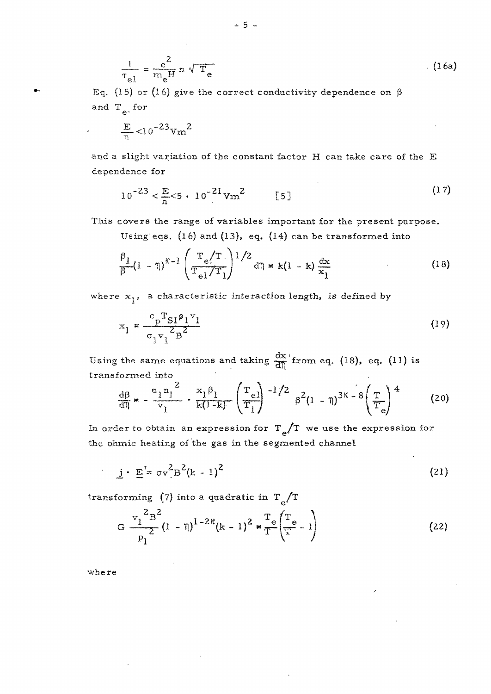$$
\frac{1}{\tau_{\text{el}}} = \frac{\text{e}^2}{\text{m}_{\text{e}}H} \cdot \sqrt{T_{\text{e}}}
$$
 (16a)

Eq. (15) or (16) give the correct conductivity dependence on  $\beta$ and  $T_e$  for

$$
\frac{E}{n} < 10^{-23} \text{Vm}^2
$$

and a slight variation of the constant factor H can take care of the E dependence for

$$
10^{-23} < \frac{E}{n} < 5 \cdot 10^{-21} \, \text{Vm}^2 \tag{17}
$$

This covers the range of variables important for the present purpose.

Using'eqs.  $(16)$  and  $(13)$ , eq.  $(14)$  can be transformed into

$$
\frac{\beta_1}{\beta} (1 - \eta)^{k-1} \left( \frac{T_e/T}{T_{el}/T_1} \right)^{1/2} d\eta = k(1 - k) \frac{dx}{x_1}
$$
 (18)

where  $x_1$ , a characteristic interaction length, is defined by

$$
x_1 = \frac{c_p T_{SI} \rho_1 v_1}{\sigma_1 v_1^2 B^2}
$$
 (19)

Using the same equations and taking  $\frac{dx}{d\theta}$  from eq. (18), eq. (11) is transformed into

$$
\frac{d\beta}{d\eta} = -\frac{\alpha_1 n_1^2}{v_1} \cdot \frac{x_1 \beta_1}{k(1-k)} \left(\frac{T_{\text{el}}}{T_1}\right)^{-1/2} \beta^2 (1-\eta)^{3K-8} \left(\frac{T}{T_{\text{e}}}\right)^4 \tag{20}
$$

In order to obtain an expression for  $T_e/T$  we use the expression for the ohmic heating of the gas in the segmented channel

$$
\underline{\mathbf{j}} \cdot \underline{\mathbf{E}}^{\mathbf{r}} = \sigma \mathbf{v}^2 \mathbf{B}^2 (\mathbf{k} - 1)^2
$$
 (21)

transforming (7) into a quadratic in  $T_e/T$ 

$$
G \frac{{v_1}^2 B^2}{p_1^2} (1 - \eta)^{1 - 2k} (k - 1)^2 = \frac{T_e}{T} \left( \frac{T_e}{T} - 1 \right)
$$
 (22)

where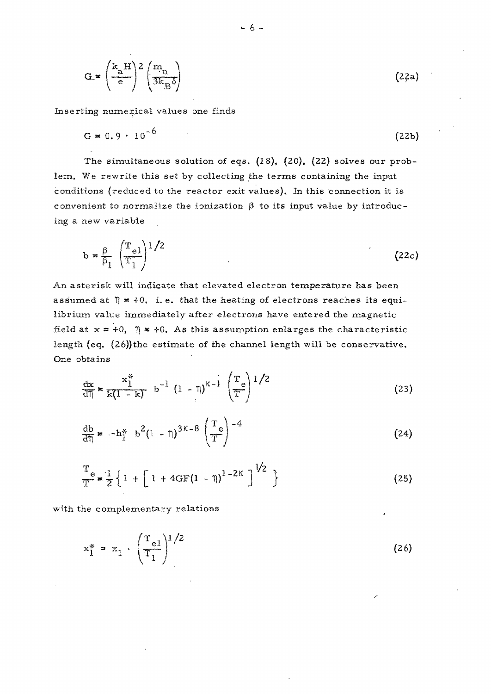$$
G = \left(\frac{k_a H}{e}\right)^2 \left(\frac{m_n}{3k_B \delta}\right)
$$
 (22a)

Inserting numerical values one finds

$$
G = 0.9 \cdot 10^{-6}
$$
 (22b)

The simultaneous solution of eqs. (18), (20), (22) solves our problem. We rewrite this set by collecting the terras containing the input conditions (reduced to the reactor exit values). In this connection it is convenient to normalize the ionization  $\beta$  to its input value by introducing a new variable

$$
b = \frac{\beta}{\beta_1} \left(\frac{T_{\text{el}}}{T_1}\right)^{1/2} \tag{22c}
$$

An asterisk will indicate that elevated electron temperature has been assumed at  $\eta * +0$ , i.e. that the heating of electrons reaches its equilibrium value immediately after electrons have entered the magnetic field at  $x = +0$ ,  $\eta = +0$ . As this assumption enlarges the characteristic length (eq.  $(26)$ )the estimate of the channel length will be conservative. One obtains

$$
\frac{dx}{d\eta} \approx \frac{x_1^*}{k(1-k)} b^{-1} (1-\eta)^{k-1} \left(\frac{T_e}{T}\right)^{1/2}
$$
 (23)

$$
\frac{db}{d\eta} = -h_1^* b^2 (1 - \eta)^{3K - 8} \left(\frac{T_e}{T}\right)^{-4}
$$
 (24)

$$
\frac{T_e}{T} = \frac{1}{2} \left\{ 1 + \left[ 1 + 4GF(1 - \eta)^{1 - 2K} \right]^{1/2} \right\}
$$
 (25)

with the complementary relations

$$
x_1^* = x_1 \cdot \left(\frac{T_{\text{el}}}{T_1}\right)^{1/2} \tag{26}
$$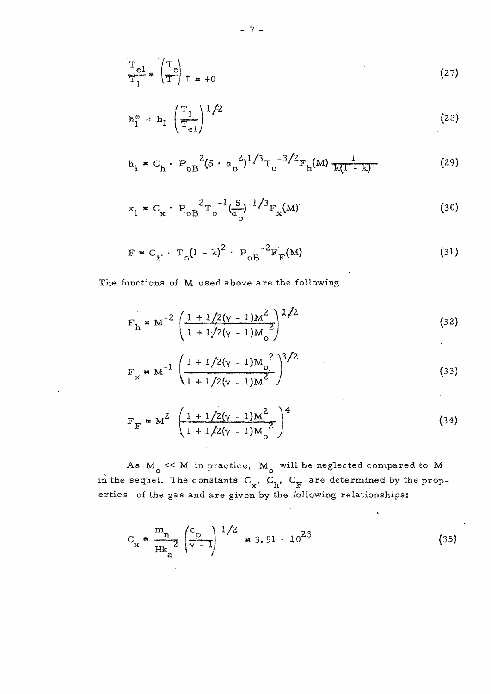$$
\frac{T_{\text{el}}}{T_1} \ast \left(\frac{T_{\text{e}}}{T}\right) \eta = +0
$$
 (27)

$$
\mathbf{h}_1^* = \mathbf{h}_1 \left( \frac{\mathbf{T}_1}{\mathbf{T}_{\text{el}}} \right)^{1/2} \tag{23}
$$

$$
h_1 \approx C_h \cdot P_{oB}^2 (S \cdot a_o^2)^{1/3} T_o^{-3/2} F_h(M) \frac{1}{k(1-k)}
$$
 (29)

$$
x_1 * C_x \cdot P_{oB}^2 T_o^{-1} \left(\frac{S}{\alpha_o}\right)^{-1/3} F_x(M)
$$
 (30)

$$
\mathbf{F} = \mathbf{C}_{\mathbf{F}} \cdot \mathbf{T}_{\mathbf{0}} \left( 1 - \mathbf{k} \right)^2 \cdot \mathbf{P}_{\mathbf{0} \mathbf{B}}^{-2} \mathbf{F}_{\mathbf{F}} \left( \mathbf{M} \right) \tag{31}
$$

The functions of M used above are the following

$$
F_h = M^{-2} \left( \frac{1 + 1/2(\gamma - 1)M^2}{1 + 1/2(\gamma - 1)M_0^2} \right)^{1/2}
$$
 (32)

$$
F_x \approx M^{-1} \left( \frac{1 + 1/2(\gamma - 1)M_0^2}{1 + 1/2(\gamma - 1)M^2} \right)^{3/2}
$$
 (33)

$$
F_F \approx M^2 \left( \frac{1 + 1/2(\gamma - 1)M^2}{1 + 1/2(\gamma - 1)M_0^2} \right)^4
$$
 (34)

As  $M_0 \ll M$  in practice,  $M_0$  will be neglected compared to M in the sequel. The constants  $C_x$ ,  $C_h$ ,  $C_F$  are determined by the properties of the gas and are given by the following relationships:

$$
C_{\rm x} \ast \frac{m_{\rm n}}{Hk_{\rm a}^2} \left(\frac{c_{\rm p}}{\gamma - 1}\right)^{1/2} \ast 3.51 \cdot 10^{23} \tag{35}
$$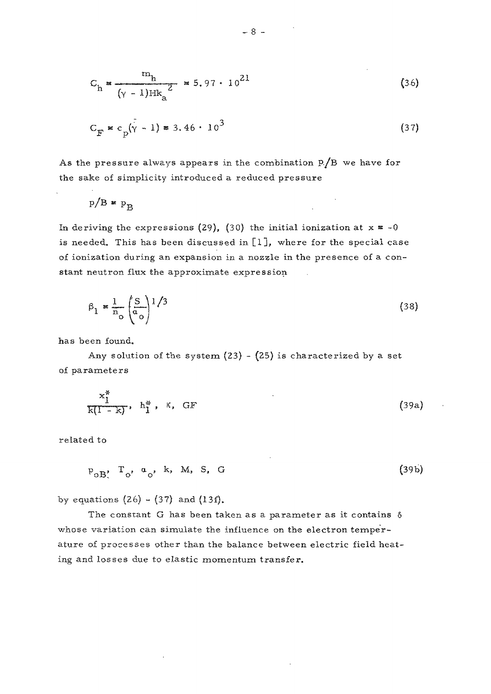$$
C_h = \frac{m_h}{(\gamma - 1)Hk_a^2} = 5.97 \cdot 10^{21}
$$
 (36)

$$
C_{\rm F} \approx c_p(\dot{v} - 1) \approx 3.46 \cdot 10^3 \tag{37}
$$

As the pressure always appears in the combination  $p/B$  we have for the sake of simplicity introduced a reduced pressure

$$
\rm p/B \ast \rm p_B
$$

In deriving the expressions (29), (30) the initial ionization at  $x = -0$ is needed. This has been discussed in  $[1]$ , where for the special case of ionization during an expansion in a nozzle in the presence of a constant neutron flux the approximate expression

$$
\beta_1 = \frac{1}{n_o} \left(\frac{S}{a_o}\right)^{1/3} \tag{38}
$$

has been found.

Any solution of the system  $(23)$  -  $(25)$  is characterized by a set of parameters

$$
\frac{x_1^*}{k(1-k)}, h_1^*, \kappa, GF
$$
 (39a)

related to

$$
P_{oB}' T_{o'} a_{o'} k, M, S, G
$$
 (39b)

by equations  $(26) - (37)$  and  $(13f)$ .

The constant G has been taken as a parameter as it contains  $\delta$ whose variation can simulate the influence on the electron temperature of processes other than the balance between electric field heating and losses due to elastic momentum transfer.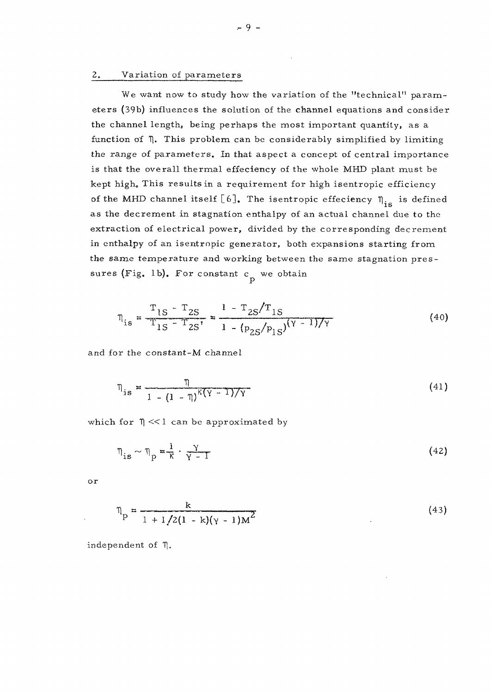#### 2. Variation of parameters

We want now to study how the variation of the "technical" parameters (39b) influences the solution of the channel equations and consider the channel length, being perhaps the most important quantity, as a function of  $\eta$ . This problem can be considerably simplified by limiting the range of parameters. *In* that aspect a concept of central importance is that the overall thermal effeciency of the whole MHD plant must be kept high. This results in a requirement for high isentropic efficiency of the MHD channel itself [6], The isentropic effeciency *T\.* is defined **IS** as the decrement in stagnation enthalpy of an actual channel due to the extraction of electrical power, divided by the corresponding decrement in enthalpy of an isentropic generator, both expansions starting from the same temperature and working between the same stagnation pressures (Fig. 1b). For constant  $c_n$  we obtain

$$
\eta_{is} = \frac{T_{1S} - T_{2S}}{T_{1S} - T_{2S}'} = \frac{1 - T_{2S}/T_{1S}}{1 - (P_{2S}/P_{1S})^{(\gamma - 1)/\gamma}}
$$
(40)

and for the constant-M channel

$$
\eta_{\text{is}} = \frac{\eta}{1 - (1 - \eta)^{K(Y - 1)/Y}}
$$
 (41)

which for  $\eta \ll 1$  can be approximated by

$$
\eta_{\text{is}} \sim \eta_{\text{p}} = \frac{1}{\kappa} \cdot \frac{\gamma}{\gamma - 1} \tag{42}
$$

or

$$
\eta_p = \frac{k}{1 + 1/2(1 - k)(\gamma - 1)M^2}
$$
 (43)

independent of T].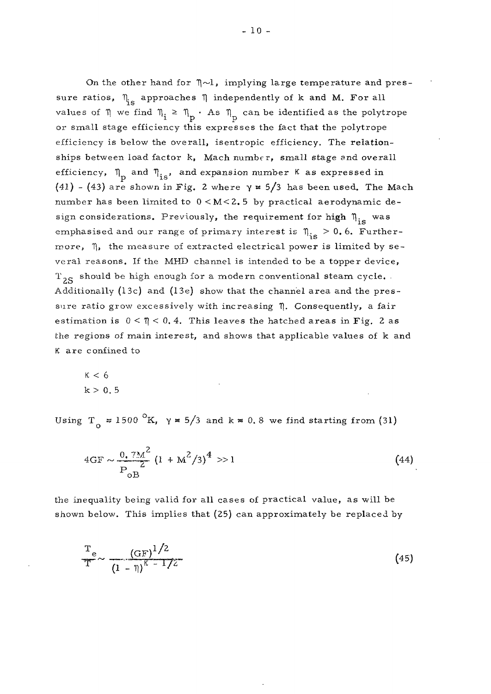On the other hand for  $\eta$ ~l, implying large temperature and pressure ratios,  $\eta_{is}$  approaches  $\eta$  independently of k and M. For all values of  $\eta$  we find  $\eta_i \geq \eta_p$ . As  $\eta_p$  can be identified as the polytrope or small stage efficiency this expresses the fact that the polytrope efficiency is below the overall, isentropic efficiency. The relationships between load factor k, Mach number, small stage and overall efficiency,  $\eta_{\text{p}}$  and  $\eta_{\text{is}}$ , and expansion number  $\kappa$  as expressed in (41) - (43) are shown in Fig. 2 where  $\gamma = 5/3$  has been used. The Mach number has been limited to  $0 < M < 2.5$  by practical aerodynamic design considerations. Previously, the requirement for high  $\eta_{i\infty}$  was emphasised and our range of primary interest is  $n_{\text{iso}} > 0$ .6. Further-**IS** more,  $\eta$ , the measure of extracted electrical power is limited by several reasons. If the MHD channel is intended to be a topper device,  $T_{2S}$  should be high enough for a modern conventional steam cycle. Additionally (13c) and (13e) show that the channel area and the pressure ratio grow excessively with increasing  $\eta$ . Consequently, a fair estimation is  $0 < \eta < 0.4$ . This leaves the hatched areas in Fig. 2 as the regions of main interest, and shows that applicable values of k and *K* are confined to

$$
\kappa < 6
$$
\n
$$
k > 0.5
$$

Using  $T_o = 1500 \text{ °K}$ ,  $\gamma = 5/3$  and k  $\approx 0.8$  we find starting from (31)

$$
4GF \sim \frac{0.7M^2}{P_{\rm oB}^2} \left(1 + M^2/3\right)^4 \gg 1
$$
 (44)

the inequality being valid for all cases of practical value, as will be shown below. This implies that (25) can approximately be replaced by

$$
\frac{T_e}{T} \sim \frac{(GF)^{1/2}}{(1 - \eta)^{K - 1/2}}
$$
 (45)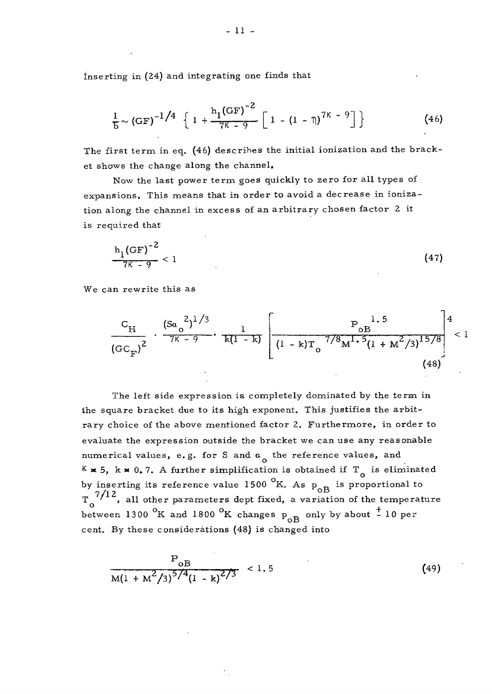inserting in (24) and integrating one finds that

$$
\frac{1}{b} \sim (GF)^{-1/4} \left\{ 1 + \frac{h_1(GF)^{-2}}{7K - 9} \left[ 1 - (1 - \eta)^{7K - 9} \right] \right\}
$$
 (46)

The first term in eq. (46) describes the initial ionization and the bracket shows the change along the channel.

Now the last power term goes quickly to zero for all types of expansions. This means that in order to avoid a decrease in ionization along the channel in excess of an arbitrary chosen factor 2 it is required that

$$
\frac{h_1(GF)^{-2}}{7K - 9} < 1\tag{47}
$$

We can rewrite this as

$$
\frac{C_{H}}{(GC_{F})^{2}} \cdot \frac{(Sa_{o}^{2})^{1/3}}{7\kappa - 9} \cdot \frac{1}{k(l-k)} \left[ \frac{P_{oB}^{1.5}}{(l-k)T_{o}^{7/8}M^{1.5}(l + M^{2}/3)^{15/8}} \right]^{4} < 1
$$
\n(48)

The left side expression is completely dominated by the term in the square bracket due to its high exponent. This justifies the arbitrary choice of the above mentioned factor 2. Furthermore, in order to evaluate the expression outside the bracket we can use any reasonable numerical values, e.g. for S and  $a_{\alpha}$  the reference values, and  $K \approx 5$ , k  $\approx 0.7$ . A further simplification is obtained if T<sub>o</sub> is eliminated by inserting its reference value 1500  $^{\circ}$ K. As  $p_{\alpha R}^-$  is proportional to  $7/12$  all other parameters dept fixed, a varia  $T$   $\sigma$   $\sim$   $T$   $\sim$   $T$   $\sim$   $T$   $\sim$   $T$   $\sim$   $T$   $\sim$   $T$   $\sim$   $T$   $\sim$   $T$   $\sim$   $T$   $\sim$   $T$   $\sim$   $T$   $\sim$   $T$   $\sim$   $T$   $\sim$   $T$   $\sim$   $T$   $\sim$   $T$   $\sim$   $T$   $\sim$   $T$   $\sim$   $T$   $\sim$   $T$   $\sim$   $T$   $\sim$   $T$   $\sim$   $T$   $\sim$  between 1300 K and 1800 °K changes p only by about - 10 per cent. By these considerations (48) is changed into the considerations (48) is changed into the considerations of  $\sim$ 

$$
\frac{P_{oB}}{M(1 + M^2/3)^{5/4}(1 - k)^{2/3}} < 1.5
$$
 (49)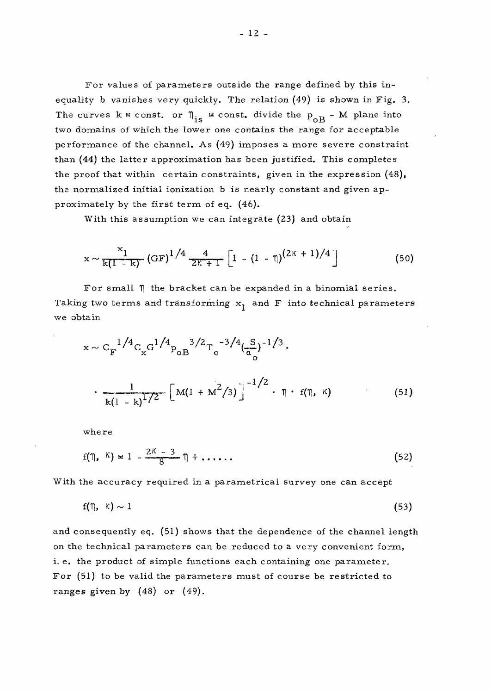For values of parameters outside the range defined by this inequality b vanishes very quickly. The relation (49) is shown in Fig. 3. The curves  $k \neq const.$  or  $\eta_{is} \neq const.$  divide the  $p_{oB} - M$  plane into two domains of which the lower one contains the range for acceptable performance of the channel. As  $(49)$  imposes a more severe constraint than  $(44)$  the latter approximation has been justified. This completes the proof that within certain constraints, given in the expression  $(48)$ , the proof that within certain constraints, given in the expression (48), the normalized initial ionization b is nearly constant and given approximately by the first term of eq. (46).

with this assumption we can integrate (23) and obtain

$$
x \sim \frac{x_1}{k(1-k)} (GF)^{1/4} \frac{4}{2k+1} \left[1 - (1 - \eta)^{(2k+1)/4}\right]
$$
 (50)

For small  $\eta$  the bracket can be expanded in a binomial series. Taking two terms and transforming  $x_1$  and F into technical parameters we obtain

$$
x \sim C_{\rm F}^{-1/4} C_{\rm x} G^{1/4} p_{\rm oB}^{-3/2} T_{\rm o}^{-3/4} (\frac{S}{\alpha_{\rm o}})^{-1/3}.
$$
  

$$
\frac{1}{k(1-k)^{1/2}} \left[ M(1 + M^{2}/3) \right]^{-1/2} \cdot \eta \cdot f(\eta, \kappa) \tag{51}
$$

where

$$
f(\eta, \kappa) = 1 - \frac{2\kappa - 3}{8} \eta + \ldots \qquad (52)
$$

With the accuracy required in a parametrical survey one can accept

$$
f(\eta, \kappa) \sim 1 \tag{53}
$$

and consequently eq. (51) shows that the dependence of the channel length on the technical parameters can be reduced to a very convenient form, i. e. the product of simple functions each containing one parameter. For (51) to be valid the parameters must of course be restricted to ranges given by (48) or (49).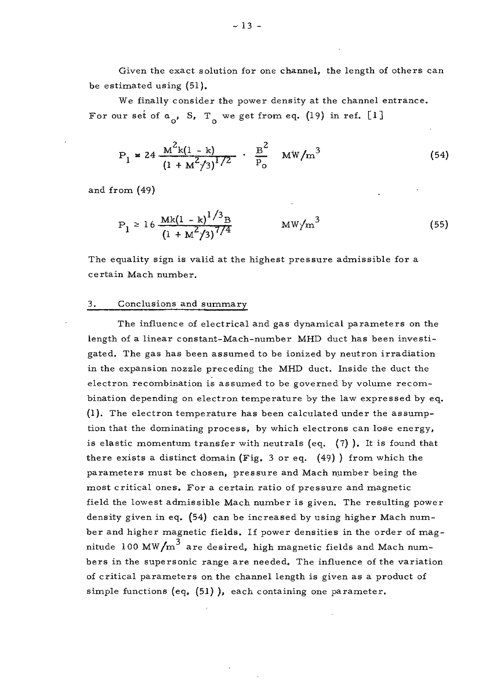Given the exact solution for one channel, the length of others can be estimated using (51).

We finally consider the power density at the channel entrance. For our set of  $a_0$ , S, T<sub>o</sub> we get from eq. (19) in ref. [1]

$$
P_1 = 24 \frac{M^2 k (1 - k)}{(1 + M^2 / 3)^{1/2}} \cdot \frac{B^2}{P_0} \quad MW/m^3
$$
 (54)

and from (49)

$$
P_1 \ge 16 \frac{Mk(1-k)^{1/3}B}{(1 + M^2/3)^{7/4}}
$$
  $MW/m^3$  (55)

The equality sign is valid at the highest pressure admissible for a certain Mach number.

#### 3. Conclusions and summary

The influence of electrical and gas dynamical parameters on the length of a linear constant-Mach-number MHD duct has been investigated. The gas has been assumed to be ionized by neutron irradiation in the expansion nozzle preceding the MHD duct. Inside the duct the electron recombination is assumed to be governed by volume recombination depending on electron temperature by the law expressed by eq. (1). The electron temperature has been calculated under the assumption that the dominating process, by which electrons can lose energy, is elastic momentum transfer with neutrals (eq.  $(7)$ ). It is found that there exists a distinct domain (Fig. 3 or eq.  $(49)$ ) from which the parameters must be chosen, pressure and Mach number being the most critical ones. For a certain ratio of pressure and magnetic field the lowest admissible Mach number is given. The resulting power density given in eq. (54) can be increased by using higher Mach number and higher magnetic fields. If power densities in the order of magnitude 100 MW/m<sup>3</sup> are desired, high magnetic fields and Mach numbers in the supersonic range are needed. The influence of the variation of critical parameters on the channel length is given as a product of simple functions (eq.  $(51)$ ), each containing one parameter.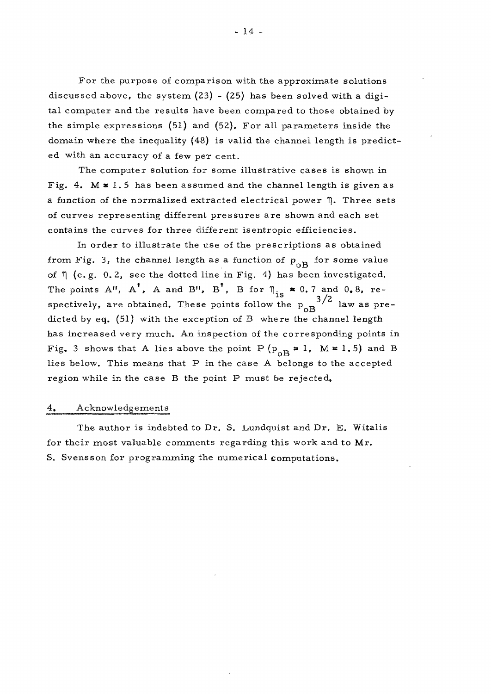For the purpose of comparison with the approximate solutions discussed above, the system  $(23)$  -  $(25)$  has been solved with a digital computer and the results have been compared to those obtained by the simple expressions  $(51)$  and  $(52)$ , For all parameters inside the domain where the inequality (48) is valid the channel length is predicted with an accuracy of a few pex cent.

The computer solution for some illustrative cases is shown in Fig. 4.  $M = 1.5$  has been assumed and the channel length is given as a function of the normalized extracted electrical power T). Three sets of curves representing different pressures are shown and each set contains the curves for three different isentropic efficiencies.

In order to illustrate the use of the prescriptions as obtained from Fig. 3, the channel length as a function of  $p_{oB}$  for some value of  $\eta$  (e.g. 0.2, see the dotted line in Fig. 4) has been investigated. The points A", A<sup>\*</sup>, A and B", B<sup>\*</sup>, B for  $\eta_{is} \approx 0.7$  and 0.8, re- $\frac{15}{1}$  s  $\frac{3}{2}$ dicted by eq. (51) with the exception of B where the channel length has increased very much. An inspection of the corresponding points in Fig. 3 shows that A lies above the point P  $(p_{nR} = 1, M = 1.5)$  and B lies below. This means that P in the case A belongs to the accepted region while in the case B the point P must be rejected. region while in the case B the point P must be rejected.

#### 4. Acknowledgements

The author is indebted to Dr. S. Lundquist and Dr. E. Witalis for their most valuable comments regarding this work and to Mr. 5. Svensson for programming the numerical computations.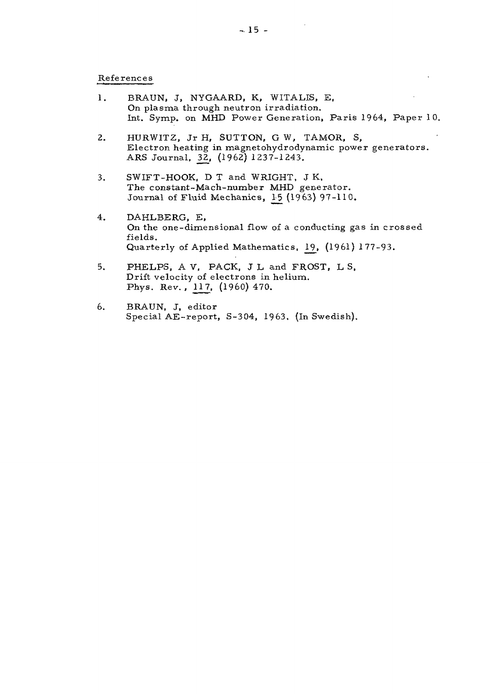References

- 1. BRAUN, J, NYGAARD, K, WITALIS, E, On plasma through neutron irradiation. Int. Symp. on MHD Power Generation, Paris 1964, Paper 10.
- 2. HURWITZ, Jr H, SUTTON, G W, TAMOR, S, Electron heating in magnetohydrodynamic power generators. ARS Journal, 32, (1962) 1237-1243.
- 3. SWIFT-HOOK, D T and WRIGHT, J K, The constant-Mach-number MHD generator. Journal of Fluid Mechanics,  $15(1963)$  97-110.
- 4. DAHLBERG, E, On the one-dimensional flow of a conducting gas in crossed fields. Quarterly of Applied Mathematics, 19, (1961)177-93.
- 5. PHELPS, A V, PACK, J L and FROST, L S, Drift velocity of electrons in helium. Phys. Rev., 117, (1960) 470.
- 6. BRAUN, J, editor Special AE-report, S-304, 1963. (In Swedish).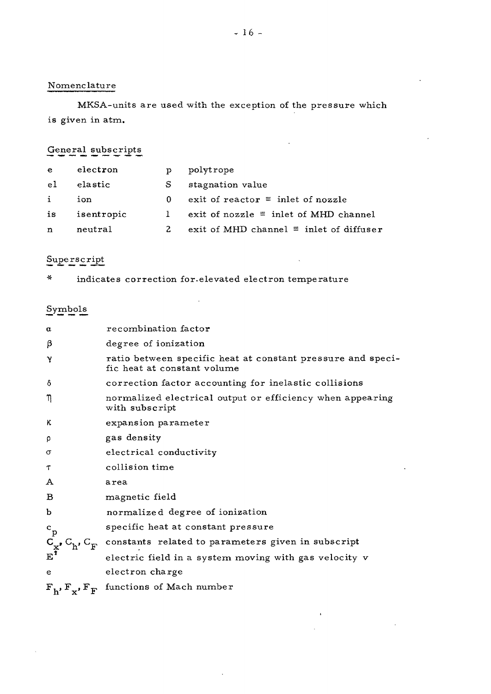### Nomenc latu re

MKSA-units are used with the exception of the pressure which is given in atm.

# General subscripts

| $\mathbf{e}$ | electron   | $\mathbf{D}$ | polytrope                                      |
|--------------|------------|--------------|------------------------------------------------|
| el           | elastic    | S.           | stagnation value                               |
| $\mathbf{i}$ | ion        | 0            | exit of reactor $\equiv$ inlet of nozzle       |
| is           | isentropic |              | exit of nozzle $\equiv$ inlet of MHD channel   |
| $\mathbf n$  | neutral    |              | exit of MHD channel $\equiv$ inlet of diffuser |

# Superscript

\* indicates correction for-elevated electron temperature

 $\ddot{\phantom{a}}$ 

# Symbols

| $\alpha$                                                                                                                                    | recombination factor                                                                       |
|---------------------------------------------------------------------------------------------------------------------------------------------|--------------------------------------------------------------------------------------------|
| β                                                                                                                                           | degree of ionization                                                                       |
| Υ                                                                                                                                           | ratio between specific heat at constant pressure and speci-<br>fic heat at constant volume |
| $\delta$                                                                                                                                    | correction factor accounting for inelastic collisions                                      |
| ŋ                                                                                                                                           | normalized electrical output or efficiency when appearing<br>with subscript                |
| к                                                                                                                                           | expansion parameter                                                                        |
| p                                                                                                                                           | gas density                                                                                |
| $\sigma$                                                                                                                                    | electrical conductivity                                                                    |
| $\tau$                                                                                                                                      | collision time                                                                             |
| A                                                                                                                                           | area                                                                                       |
| в                                                                                                                                           | magnetic field                                                                             |
| b                                                                                                                                           | normalized degree of ionization                                                            |
| $\mathbf{c}_{\mathbf{p}}$                                                                                                                   | specific heat at constant pressure                                                         |
| $\mathbf{C}_{\mathbf{x}^{\prime}}^{\mathbf{C}_{\mathbf{C}}^{\prime}}$ $\mathbf{C}_{\mathbf{F}^{\prime}}^{\mathbf{C}_{\mathbf{C}}^{\prime}}$ | constants related to parameters given in subscript                                         |
|                                                                                                                                             | electric field in a system moving with gas velocity v                                      |
| e                                                                                                                                           | electron charge                                                                            |
|                                                                                                                                             | $F_h$ , $F_v$ , $F_F$ functions of Mach number                                             |

 $\Delta$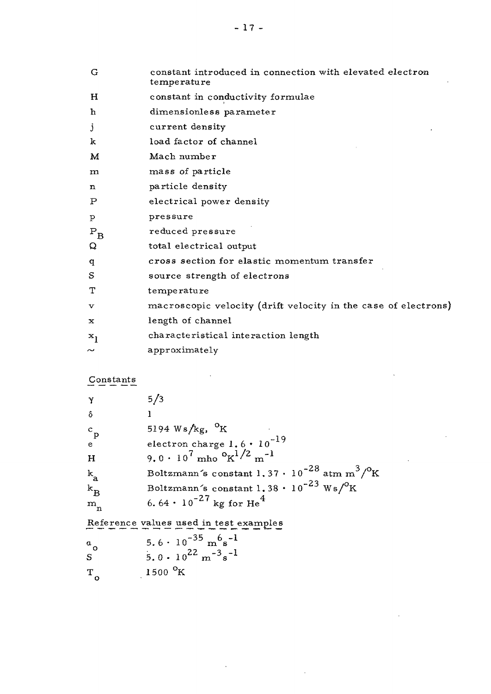| G                         | constant introduced in connection with elevated electron<br>temperature |
|---------------------------|-------------------------------------------------------------------------|
| $\mathbf H$               | constant in conductivity formulae                                       |
| h                         | dimensionless parameter                                                 |
| j                         | current density                                                         |
| k                         | load factor of channel                                                  |
| M                         | Mach number                                                             |
| m                         | mass of particle                                                        |
| n                         | particle density                                                        |
| Ρ                         | electrical power density                                                |
| p                         | pressure                                                                |
| $P_{B}$                   | reduced pressure                                                        |
| Q                         | total electrical output                                                 |
| q                         | cross section for elastic momentum transfer                             |
| S                         | source strength of electrons                                            |
| т                         | temperature                                                             |
| v                         | macroscopic velocity (drift velocity in the case of electrons)          |
| x                         | length of channel                                                       |
| $x_1$                     | characteristical interaction length                                     |
| $\widetilde{\phantom{m}}$ | approximately                                                           |

 $\ddot{\phantom{a}}$ 

 $\sim$   $\sim$ 

 $\mathbb{Z}^2$ 

 $\sim 10^{-1}$ 

# Constants

| Y                                      | 5/3                                                                                     |  |  |  |  |
|----------------------------------------|-----------------------------------------------------------------------------------------|--|--|--|--|
| $\delta$                               |                                                                                         |  |  |  |  |
| $c$ <sub>p</sub>                       | 5194 Ws/kg, $V_K$                                                                       |  |  |  |  |
| e                                      | electron charge $1.6 \cdot 10^{-19}$                                                    |  |  |  |  |
| н                                      | 9.0 $\cdot$ 10 <sup>7</sup> mho $\frac{0 \text{K}^{1}}{2}$ m <sup>-1</sup>              |  |  |  |  |
| $k_{a}$                                | Boltzmann's constant 1.37 $\cdot$ 10 <sup>-28</sup> atm m <sup>3</sup> / <sup>o</sup> K |  |  |  |  |
| $k_B$                                  | Boltzmann's constant $1.38 \cdot 10^{-23}$ Ws/ <sup>O</sup> K                           |  |  |  |  |
| $\mathbf{m}_{\mathbf{n}}$              | 6.64 · $10^{-27}$ kg for He <sup>4</sup>                                                |  |  |  |  |
| Reference values used in test examples |                                                                                         |  |  |  |  |
| $a_{\rm o}$                            | $5.6 \cdot 10^{-35}$ m <sup>6</sup> s <sup>-1</sup>                                     |  |  |  |  |
| $S_{\parallel}$                        | $5.0 \cdot 10^{22} \text{ m}^{-3} \text{s}^{-1}$                                        |  |  |  |  |
| $T^{\dagger}_{\rm o}$                  | $1500 \text{ }^{\circ}$ K                                                               |  |  |  |  |
|                                        |                                                                                         |  |  |  |  |

 $\bar{z}$ 

 $\mathcal{L}^{\mathcal{L}}$ 

 $\sim$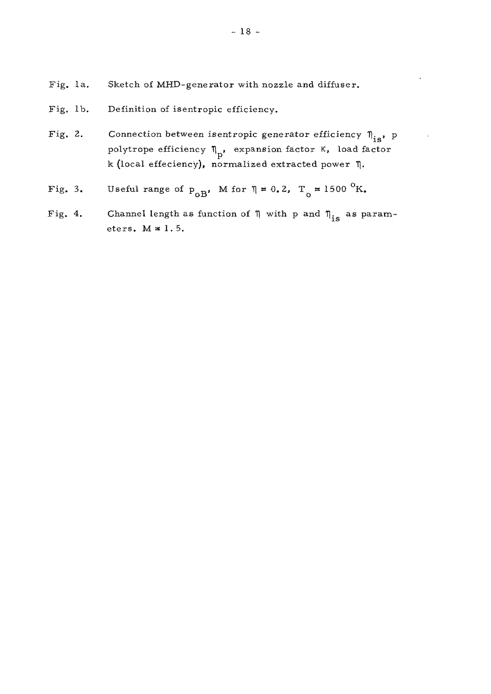- Fig. la. Sketch of MHD-generator with nozzle and diffuser.
- Fig. lb. Definition of isentropic efficiency.
- Fig. 2. Connection between isentropic generator efficiency  $\eta_{is}$ , p ---<br>-+ polytrope efficiency the complete extracted power. k (local effeciency), normalized extracted power  $\eta$ .
- Fig. 3. Useful range of  $p_{OB}$ , M for  $\eta = 0.2$ ,  $T_{0} = 1500 \text{ °K}$ .
- Fig. 4. Channel length as function of  $\eta$  with p and  $\eta_{is}$  as parameters.  $M = 1.5$ .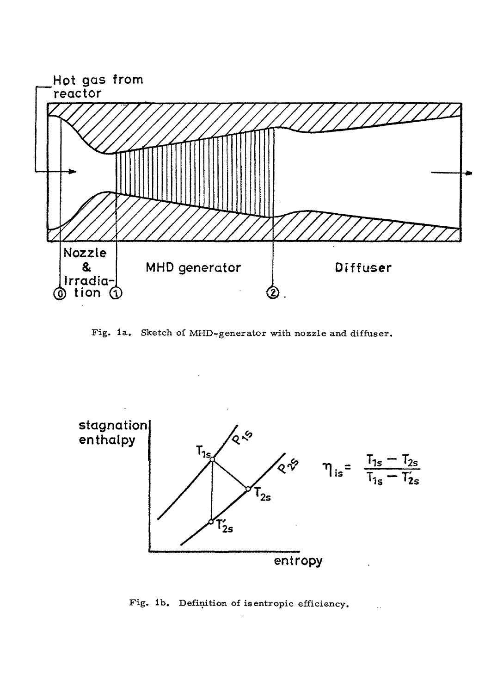

Fig. la. Sketch of MHD-generator with nozzle and diffuser.



Fig. Ib. Definition of isentropic efficiency.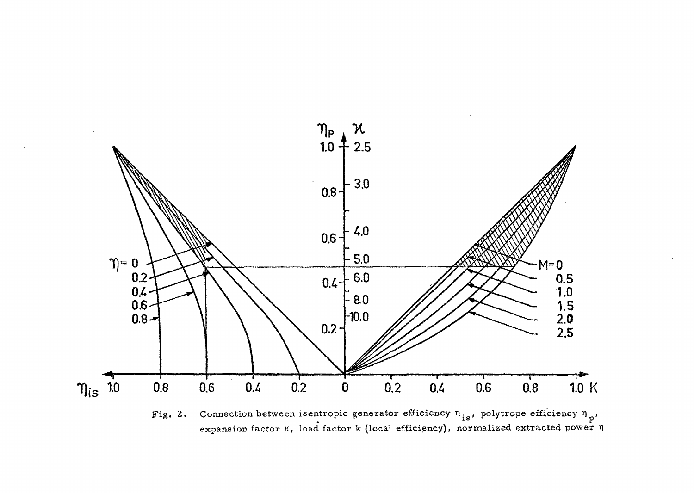

Fig. 2. Connection between isentropic generator efficiency  $\eta_{1a}$ , polytrope efficiency  $\eta_{1a}$ , expansion factor K, load factor k (local efficiency), normalized extracted power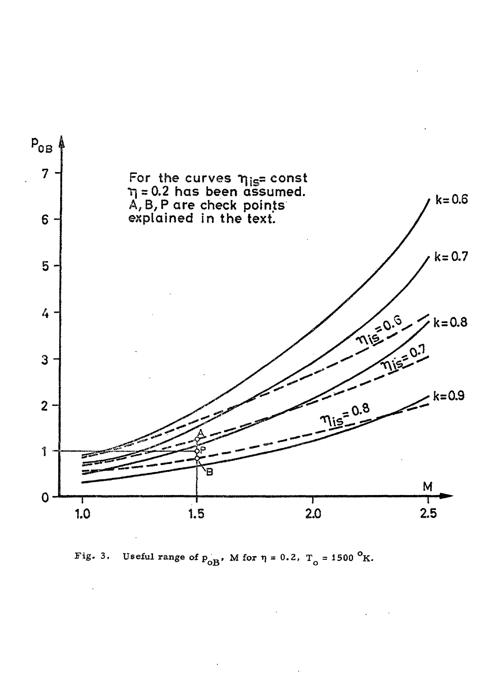

Fig. 3. Useful range of  $p_{OB}$ , M for  $\eta = 0.2$ ,  $T_{O} = 1500 \text{ °K}$ .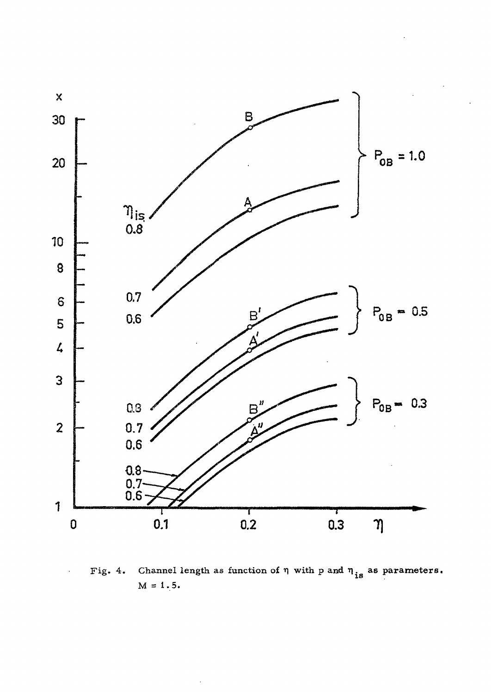

Fig. 4. Channel length as function of  $\eta$  with p and  $\eta_{is}$  as parameters. **xs**  $M = 1.5.$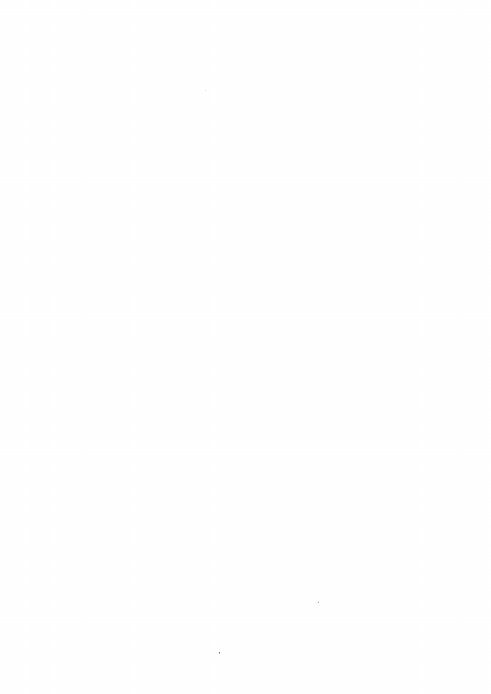$\label{eq:2.1} \frac{1}{\sqrt{2}}\int_{\mathbb{R}^3}\frac{1}{\sqrt{2}}\left(\frac{1}{\sqrt{2}}\right)^2\frac{1}{\sqrt{2}}\left(\frac{1}{\sqrt{2}}\right)^2\frac{1}{\sqrt{2}}\left(\frac{1}{\sqrt{2}}\right)^2\frac{1}{\sqrt{2}}\left(\frac{1}{\sqrt{2}}\right)^2.$ 

 $\label{eq:2.1} \frac{1}{\sqrt{2}}\int_{\mathbb{R}^3}\frac{1}{\sqrt{2}}\left(\frac{1}{\sqrt{2}}\right)^2\frac{1}{\sqrt{2}}\left(\frac{1}{\sqrt{2}}\right)^2\frac{1}{\sqrt{2}}\left(\frac{1}{\sqrt{2}}\right)^2.$ 

 $\mathcal{L}^{\text{max}}_{\text{max}}$  .